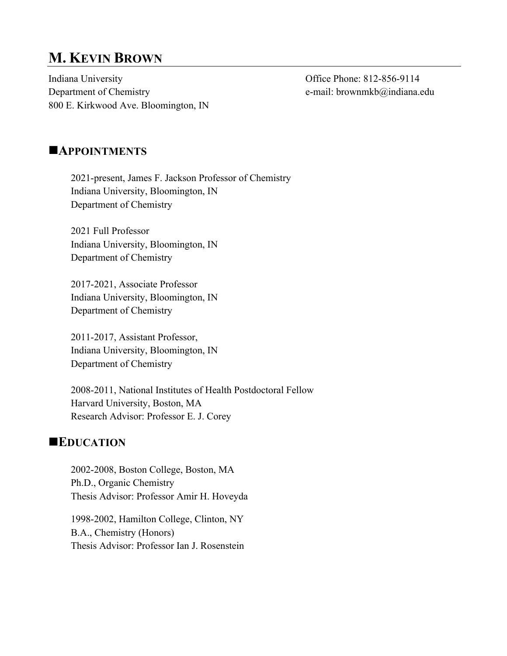# **M. KEVIN BROWN**

Indiana University Office Phone: 812-856-9114 Department of Chemistry e-mail: brownmkb@indiana.edu 800 E. Kirkwood Ave. Bloomington, IN

#### **NAPPOINTMENTS**

2021-present, James F. Jackson Professor of Chemistry Indiana University, Bloomington, IN Department of Chemistry

2021 Full Professor Indiana University, Bloomington, IN Department of Chemistry

2017-2021, Associate Professor Indiana University, Bloomington, IN Department of Chemistry

2011-2017, Assistant Professor, Indiana University, Bloomington, IN Department of Chemistry

2008-2011, National Institutes of Health Postdoctoral Fellow Harvard University, Boston, MA Research Advisor: Professor E. J. Corey

#### **EDUCATION**

2002-2008, Boston College, Boston, MA Ph.D., Organic Chemistry Thesis Advisor: Professor Amir H. Hoveyda

1998-2002, Hamilton College, Clinton, NY B.A., Chemistry (Honors) Thesis Advisor: Professor Ian J. Rosenstein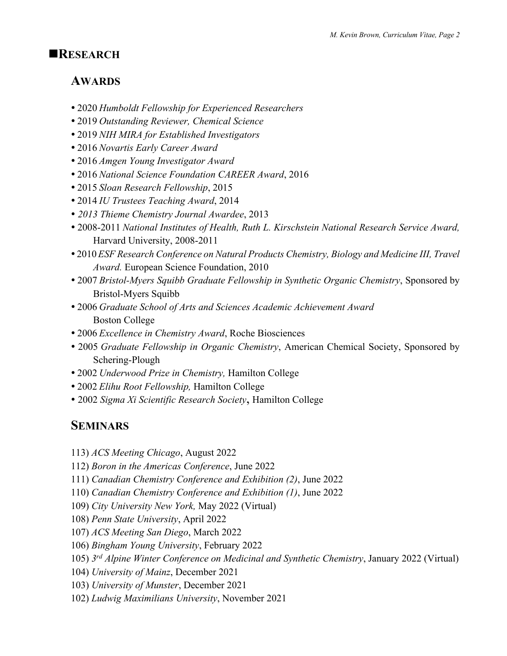### n**RESEARCH**

## **AWARDS**

- 2020 *Humboldt Fellowship for Experienced Researchers*
- 2019 *Outstanding Reviewer, Chemical Science*
- 2019 *NIH MIRA for Established Investigators*
- 2016 *Novartis Early Career Award*
- 2016 *Amgen Young Investigator Award*
- 2016 *National Science Foundation CAREER Award*, 2016
- 2015 *Sloan Research Fellowship*, 2015
- 2014 *IU Trustees Teaching Award*, 2014
- *2013 Thieme Chemistry Journal Awardee*, 2013
- 2008-2011 *National Institutes of Health, Ruth L. Kirschstein National Research Service Award,*  Harvard University, 2008-2011
- 2010*ESF Research Conference on Natural Products Chemistry, Biology and Medicine III, Travel Award.* European Science Foundation, 2010
- 2007 *Bristol-Myers Squibb Graduate Fellowship in Synthetic Organic Chemistry*, Sponsored by Bristol-Myers Squibb
- 2006 *Graduate School of Arts and Sciences Academic Achievement Award* Boston College
- 2006 *Excellence in Chemistry Award*, Roche Biosciences
- 2005 *Graduate Fellowship in Organic Chemistry*, American Chemical Society, Sponsored by Schering-Plough
- 2002 *Underwood Prize in Chemistry,* Hamilton College
- 2002 *Elihu Root Fellowship,* Hamilton College
- 2002 *Sigma Xi Scientific Research Society*, Hamilton College

## **SEMINARS**

- 113) *ACS Meeting Chicago*, August 2022
- 112) *Boron in the Americas Conference*, June 2022
- 111) *Canadian Chemistry Conference and Exhibition (2)*, June 2022
- 110) *Canadian Chemistry Conference and Exhibition (1)*, June 2022
- 109) *City University New York,* May 2022 (Virtual)
- 108) *Penn State University*, April 2022
- 107) *ACS Meeting San Diego*, March 2022
- 106) *Bingham Young University*, February 2022
- 105) *3rd Alpine Winter Conference on Medicinal and Synthetic Chemistry*, January 2022 (Virtual)
- 104) *University of Mainz*, December 2021
- 103) *University of Munster*, December 2021
- 102) *Ludwig Maximilians University*, November 2021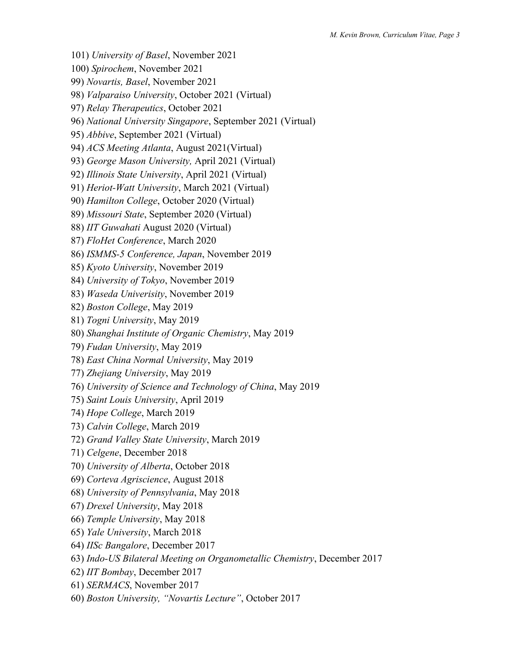- 101) *University of Basel*, November 2021
- 100) *Spirochem*, November 2021
- 99) *Novartis, Basel*, November 2021
- 98) *Valparaiso University*, October 2021 (Virtual)
- 97) *Relay Therapeutics*, October 2021
- 96) *National University Singapore*, September 2021 (Virtual)
- 95) *Abbive*, September 2021 (Virtual)
- 94) *ACS Meeting Atlanta*, August 2021(Virtual)
- 93) *George Mason University,* April 2021 (Virtual)
- 92) *Illinois State University*, April 2021 (Virtual)
- 91) *Heriot-Watt University*, March 2021 (Virtual)
- 90) *Hamilton College*, October 2020 (Virtual)
- 89) *Missouri State*, September 2020 (Virtual)
- 88) *IIT Guwahati* August 2020 (Virtual)
- 87) *FloHet Conference*, March 2020
- 86) *ISMMS-5 Conference, Japan*, November 2019
- 85) *Kyoto University*, November 2019
- 84) *University of Tokyo*, November 2019
- 83) *Waseda Univerisity*, November 2019
- 82) *Boston College*, May 2019
- 81) *Togni University*, May 2019
- 80) *Shanghai Institute of Organic Chemistry*, May 2019
- 79) *Fudan University*, May 2019
- 78) *East China Normal University*, May 2019
- 77) *Zhejiang University*, May 2019
- 76) *University of Science and Technology of China*, May 2019
- 75) *Saint Louis University*, April 2019
- 74) *Hope College*, March 2019
- 73) *Calvin College*, March 2019
- 72) *Grand Valley State University*, March 2019
- 71) *Celgene*, December 2018
- 70) *University of Alberta*, October 2018
- 69) *Corteva Agriscience*, August 2018
- 68) *University of Pennsylvania*, May 2018
- 67) *Drexel University*, May 2018
- 66) *Temple University*, May 2018
- 65) *Yale University*, March 2018
- 64) *IISc Bangalore*, December 2017
- 63) *Indo-US Bilateral Meeting on Organometallic Chemistry*, December 2017
- 62) *IIT Bombay*, December 2017
- 61) *SERMACS*, November 2017
- 60) *Boston University, "Novartis Lecture"*, October 2017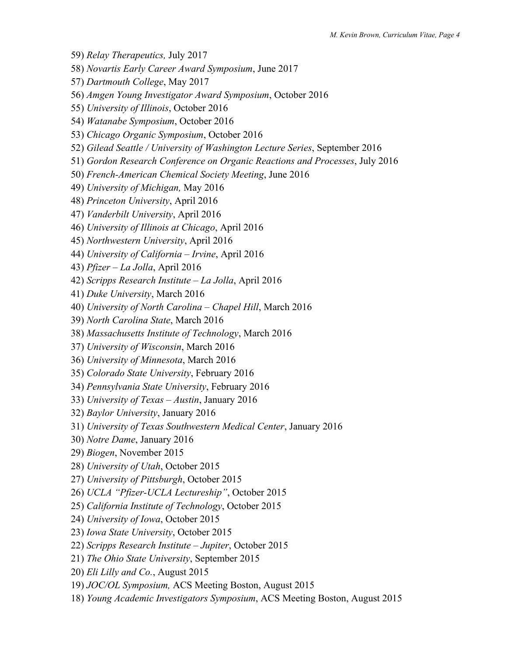- 59) *Relay Therapeutics,* July 2017
- 58) *Novartis Early Career Award Symposium*, June 2017
- 57) *Dartmouth College*, May 2017
- 56) *Amgen Young Investigator Award Symposium*, October 2016
- 55) *University of Illinois*, October 2016
- 54) *Watanabe Symposium*, October 2016
- 53) *Chicago Organic Symposium*, October 2016
- 52) *Gilead Seattle / University of Washington Lecture Series*, September 2016
- 51) *Gordon Research Conference on Organic Reactions and Processes*, July 2016
- 50) *French-American Chemical Society Meeting*, June 2016
- 49) *University of Michigan,* May 2016
- 48) *Princeton University*, April 2016
- 47) *Vanderbilt University*, April 2016
- 46) *University of Illinois at Chicago*, April 2016
- 45) *Northwestern University*, April 2016
- 44) *University of California – Irvine*, April 2016
- 43) *Pfizer – La Jolla*, April 2016
- 42) *Scripps Research Institute – La Jolla*, April 2016
- 41) *Duke University*, March 2016
- 40) *University of North Carolina – Chapel Hill*, March 2016
- 39) *North Carolina State*, March 2016
- 38) *Massachusetts Institute of Technology*, March 2016
- 37) *University of Wisconsin*, March 2016
- 36) *University of Minnesota*, March 2016
- 35) *Colorado State University*, February 2016
- 34) *Pennsylvania State University*, February 2016
- 33) *University of Texas – Austin*, January 2016
- 32) *Baylor University*, January 2016
- 31) *University of Texas Southwestern Medical Center*, January 2016
- 30) *Notre Dame*, January 2016
- 29) *Biogen*, November 2015
- 28) *University of Utah*, October 2015
- 27) *University of Pittsburgh*, October 2015
- 26) *UCLA "Pfizer-UCLA Lectureship"*, October 2015
- 25) *California Institute of Technology*, October 2015
- 24) *University of Iowa*, October 2015
- 23) *Iowa State University*, October 2015
- 22) *Scripps Research Institute – Jupiter*, October 2015
- 21) *The Ohio State University*, September 2015
- 20) *Eli Lilly and Co.*, August 2015
- 19) *JOC/OL Symposium,* ACS Meeting Boston, August 2015
- 18) *Young Academic Investigators Symposium*, ACS Meeting Boston, August 2015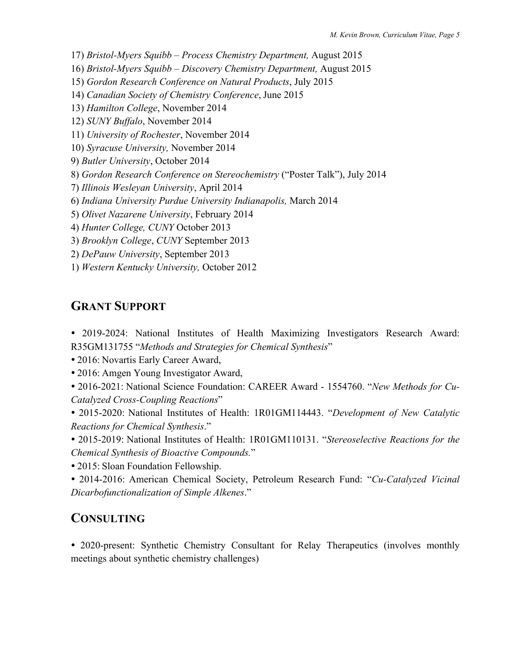17) *Bristol-Myers Squibb – Process Chemistry Department,* August 2015

16) *Bristol-Myers Squibb – Discovery Chemistry Department,* August 2015

15) *Gordon Research Conference on Natural Products*, July 2015

14) *Canadian Society of Chemistry Conference*, June 2015

13) *Hamilton College*, November 2014

12) *SUNY Buffalo*, November 2014

11) *University of Rochester*, November 2014

10) *Syracuse University,* November 2014

9) *Butler University*, October 2014

8) *Gordon Research Conference on Stereochemistry* ("Poster Talk"), July 2014

7) *Illinois Wesleyan University*, April 2014

6) *Indiana University Purdue University Indianapolis,* March 2014

5) *Olivet Nazarene University*, February 2014

4) *Hunter College, CUNY* October 2013

3) *Brooklyn College*, *CUNY* September 2013

2) *DePauw University*, September 2013

1) *Western Kentucky University,* October 2012

## **GRANT SUPPORT**

 2019-2024: National Institutes of Health Maximizing Investigators Research Award: R35GM131755 "*Methods and Strategies for Chemical Synthesis*"

2016: Novartis Early Career Award,

2016: Amgen Young Investigator Award,

 2016-2021: National Science Foundation: CAREER Award - 1554760. "*New Methods for Cu-Catalyzed Cross-Coupling Reactions*"

 2015-2020: National Institutes of Health: 1R01GM114443. "*Development of New Catalytic Reactions for Chemical Synthesis*."

 2015-2019: National Institutes of Health: 1R01GM110131. "*Stereoselective Reactions for the Chemical Synthesis of Bioactive Compounds.*"

2015: Sloan Foundation Fellowship.

 2014-2016: American Chemical Society, Petroleum Research Fund: "*Cu-Catalyzed Vicinal Dicarbofunctionalization of Simple Alkenes*."

## **CONSULTING**

• 2020-present: Synthetic Chemistry Consultant for Relay Therapeutics (involves monthly meetings about synthetic chemistry challenges)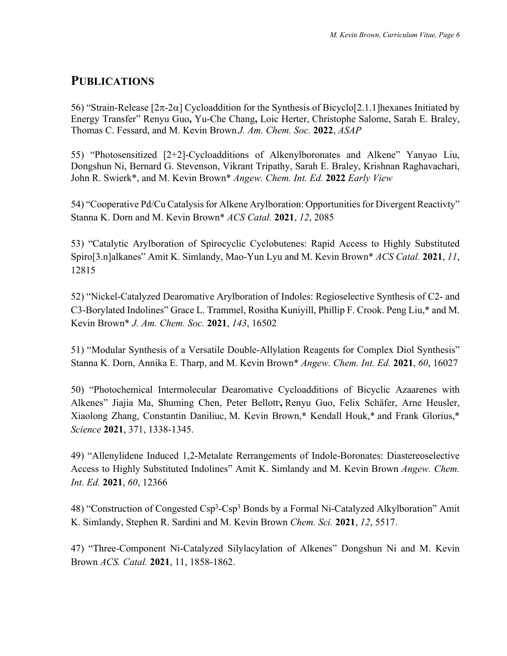## **PUBLICATIONS**

56) "Strain-Release  $[2\pi$ -2 $\alpha]$  Cycloaddition for the Synthesis of Bicyclo[2.1.1] hexanes Initiated by Energy Transfer" Renyu Guo**,** Yu-Che Chang**,** Loic Herter, Christophe Salome, Sarah E. Braley, Thomas C. Fessard, and M. Kevin Brown *J. Am. Chem. Soc.* **2022**, *ASAP*

55) "Photosensitized [2+2]-Cycloadditions of Alkenylboronates and Alkene" Yanyao Liu, Dongshun Ni, Bernard G. Stevenson, Vikrant Tripathy, Sarah E. Braley, Krishnan Raghavachari, John R. Swierk\*, and M. Kevin Brown\* *Angew. Chem. Int. Ed.* **2022** *Early View*

54) "Cooperative Pd/Cu Catalysis for Alkene Arylboration: Opportunities for Divergent Reactivty" Stanna K. Dorn and M. Kevin Brown\* *ACS Catal.* **2021**, *12*, 2085

53) "Catalytic Arylboration of Spirocyclic Cyclobutenes: Rapid Access to Highly Substituted Spiro[3.n]alkanes" Amit K. Simlandy, Mao-Yun Lyu and M. Kevin Brown\* *ACS Catal.* **2021**, *11*, 12815

52) "Nickel-Catalyzed Dearomative Arylboration of Indoles: Regioselective Synthesis of C2- and C3-Borylated Indolines" Grace L. Trammel, Rositha Kuniyill, Phillip F. Crook. Peng Liu,\* and M. Kevin Brown\* *J. Am. Chem. Soc.* **2021**, *143*, 16502

51) "Modular Synthesis of a Versatile Double-Allylation Reagents for Complex Diol Synthesis" Stanna K. Dorn, Annika E. Tharp, and M. Kevin Brown\* *Angew. Chem. Int. Ed.* **2021**, *60*, 16027

50) "Photochemical Intermolecular Dearomative Cycloadditions of Bicyclic Azaarenes with Alkenes" Jiajia Ma, Shuming Chen, Peter Bellott<sup>,</sup> Renyu Guo, Felix Schäfer, Arne Heusler, Xiaolong Zhang, Constantin Daniliuc, M. Kevin Brown,**\*** Kendall Houk,\* and Frank Glorius,\* *Science* **2021**, 371, 1338-1345.

49) "Allenylidene Induced 1,2-Metalate Rerrangements of Indole-Boronates: Diastereoselective Access to Highly Substituted Indolines" Amit K. Simlandy and M. Kevin Brown *Angew. Chem. Int. Ed.* **2021**, *60*, 12366

48) "Construction of Congested Csp<sup>3</sup>-Csp<sup>3</sup> Bonds by a Formal Ni-Catalyzed Alkylboration" Amit K. Simlandy, Stephen R. Sardini and M. Kevin Brown *Chem. Sci.* **2021**, *12*, 5517.

47) "Three-Component Ni-Catalyzed Silylacylation of Alkenes" Dongshun Ni and M. Kevin Brown *ACS. Catal.* **2021**, 11, 1858-1862.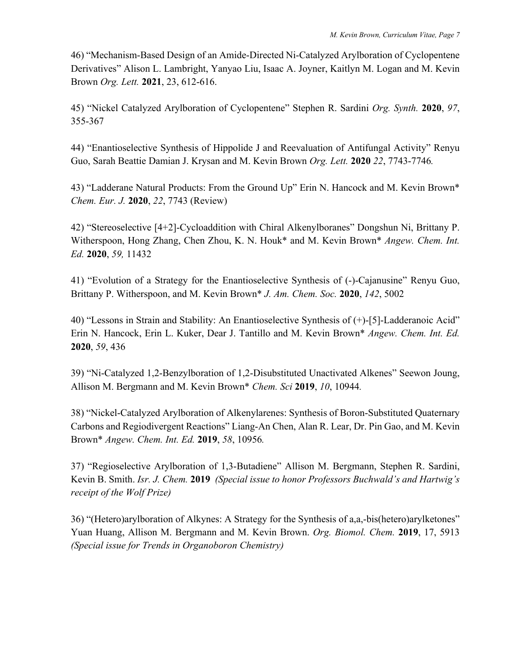46) "Mechanism-Based Design of an Amide-Directed Ni-Catalyzed Arylboration of Cyclopentene Derivatives" Alison L. Lambright, Yanyao Liu, Isaac A. Joyner, Kaitlyn M. Logan and M. Kevin Brown *Org. Lett.* **2021**, 23, 612-616.

45) "Nickel Catalyzed Arylboration of Cyclopentene" Stephen R. Sardini *Org. Synth.* **2020**, *97*, 355-367

44) "Enantioselective Synthesis of Hippolide J and Reevaluation of Antifungal Activity" Renyu Guo, Sarah Beattie Damian J. Krysan and M. Kevin Brown *Org. Lett.* **2020** *22*, 7743-7746*.*

43) "Ladderane Natural Products: From the Ground Up" Erin N. Hancock and M. Kevin Brown\* *Chem. Eur. J.* **2020**, *22*, 7743 (Review)

42) "Stereoselective [4+2]-Cycloaddition with Chiral Alkenylboranes" Dongshun Ni, Brittany P. Witherspoon, Hong Zhang, Chen Zhou, K. N. Houk\* and M. Kevin Brown\* *Angew. Chem. Int. Ed.* **2020**, *59,* 11432

41) "Evolution of a Strategy for the Enantioselective Synthesis of (-)-Cajanusine" Renyu Guo, Brittany P. Witherspoon, and M. Kevin Brown\* *J. Am. Chem. Soc.* **2020**, *142*, 5002

40) "Lessons in Strain and Stability: An Enantioselective Synthesis of (+)-[5]-Ladderanoic Acid" Erin N. Hancock, Erin L. Kuker, Dear J. Tantillo and M. Kevin Brown\* *Angew. Chem. Int. Ed.*  **2020**, *59*, 436

39) "Ni-Catalyzed 1,2-Benzylboration of 1,2-Disubstituted Unactivated Alkenes" Seewon Joung, Allison M. Bergmann and M. Kevin Brown\* *Chem. Sci* **2019**, *10*, 10944*.*

38) "Nickel-Catalyzed Arylboration of Alkenylarenes: Synthesis of Boron-Substituted Quaternary Carbons and Regiodivergent Reactions" Liang-An Chen, Alan R. Lear, Dr. Pin Gao, and M. Kevin Brown\* *Angew. Chem. Int. Ed.* **2019**, *58*, 10956*.*

37) "Regioselective Arylboration of 1,3-Butadiene" Allison M. Bergmann, Stephen R. Sardini, Kevin B. Smith. *Isr. J. Chem.* **2019** *(Special issue to honor Professors Buchwald's and Hartwig's receipt of the Wolf Prize)*

36) "(Hetero)arylboration of Alkynes: A Strategy for the Synthesis of a,a,-bis(hetero)arylketones" Yuan Huang, Allison M. Bergmann and M. Kevin Brown. *Org. Biomol. Chem.* **2019**, 17, 5913 *(Special issue for Trends in Organoboron Chemistry)*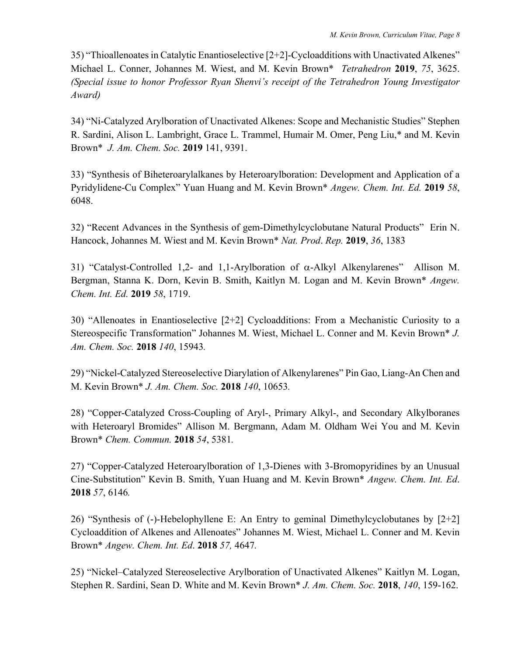35) "Thioallenoates in Catalytic Enantioselective  $[2+2]$ -Cycloadditions with Unactivated Alkenes" Michael L. Conner, Johannes M. Wiest, and M. Kevin Brown\* *Tetrahedron* **2019**, *75*, 3625. *(Special issue to honor Professor Ryan Shenvi's receipt of the Tetrahedron Young Investigator Award)*

34) "Ni-Catalyzed Arylboration of Unactivated Alkenes: Scope and Mechanistic Studies" Stephen R. Sardini, Alison L. Lambright, Grace L. Trammel, Humair M. Omer, Peng Liu,\* and M. Kevin Brown\* *J. Am. Chem. Soc.* **2019** 141, 9391.

33) "Synthesis of Biheteroarylalkanes by Heteroarylboration: Development and Application of a Pyridylidene-Cu Complex" Yuan Huang and M. Kevin Brown\* *Angew. Chem. Int. Ed.* **2019** *58*, 6048.

32) "Recent Advances in the Synthesis of gem-Dimethylcyclobutane Natural Products" Erin N. Hancock, Johannes M. Wiest and M. Kevin Brown\* *Nat. Prod*. *Rep.* **2019**, *36*, 1383

31) "Catalyst-Controlled 1,2- and 1,1-Arylboration of  $\alpha$ -Alkyl Alkenylarenes" Allison M. Bergman, Stanna K. Dorn, Kevin B. Smith, Kaitlyn M. Logan and M. Kevin Brown\* *Angew. Chem. Int. Ed.* **2019** *58*, 1719.

30) "Allenoates in Enantioselective [2+2] Cycloadditions: From a Mechanistic Curiosity to a Stereospecific Transformation" Johannes M. Wiest, Michael L. Conner and M. Kevin Brown\* *J. Am. Chem. Soc.* **2018** *140*, 15943*.*

29) "Nickel-Catalyzed Stereoselective Diarylation of Alkenylarenes" Pin Gao, Liang-An Chen and M. Kevin Brown\* *J. Am. Chem. Soc.* **2018** *140*, 10653*.*

28) "Copper-Catalyzed Cross-Coupling of Aryl-, Primary Alkyl-, and Secondary Alkylboranes with Heteroaryl Bromides" Allison M. Bergmann, Adam M. Oldham Wei You and M. Kevin Brown\* *Chem. Commun.* **2018** *54*, 5381*.*

27) "Copper-Catalyzed Heteroarylboration of 1,3-Dienes with 3-Bromopyridines by an Unusual Cine-Substitution" Kevin B. Smith, Yuan Huang and M. Kevin Brown\* *Angew. Chem. Int. Ed*. **2018** *57*, 6146*.*

26) "Synthesis of (-)-Hebelophyllene E: An Entry to geminal Dimethylcyclobutanes by [2+2] Cycloaddition of Alkenes and Allenoates" Johannes M. Wiest, Michael L. Conner and M. Kevin Brown\* *Angew. Chem. Int. Ed*. **2018** *57,* 4647*.*

25) "Nickel–Catalyzed Stereoselective Arylboration of Unactivated Alkenes" Kaitlyn M. Logan, Stephen R. Sardini, Sean D. White and M. Kevin Brown\* *J. Am. Chem. Soc.* **2018**, *140*, 159-162.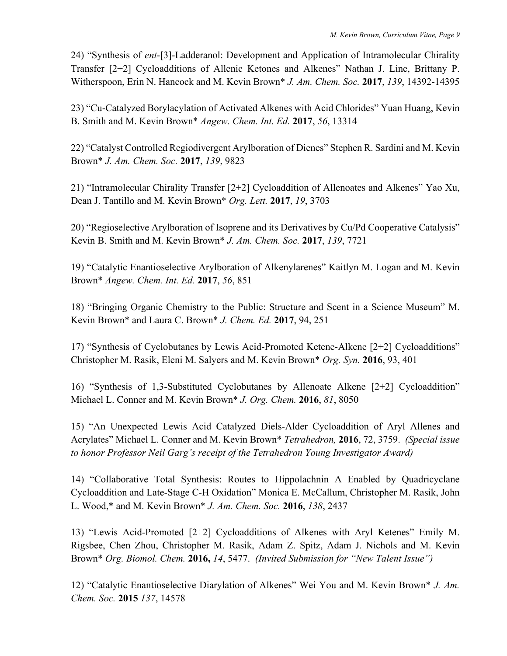24) "Synthesis of *ent*-[3]-Ladderanol: Development and Application of Intramolecular Chirality Transfer [2+2] Cycloadditions of Allenic Ketones and Alkenes" Nathan J. Line, Brittany P. Witherspoon, Erin N. Hancock and M. Kevin Brown\* *J. Am. Chem. Soc.* **2017**, *139*, 14392-14395

23) "Cu-Catalyzed Borylacylation of Activated Alkenes with Acid Chlorides" Yuan Huang, Kevin B. Smith and M. Kevin Brown\* *Angew. Chem. Int. Ed.* **2017**, *56*, 13314

22) "Catalyst Controlled Regiodivergent Arylboration of Dienes" Stephen R. Sardini and M. Kevin Brown\* *J. Am. Chem. Soc.* **2017**, *139*, 9823

21) "Intramolecular Chirality Transfer [2+2] Cycloaddition of Allenoates and Alkenes" Yao Xu, Dean J. Tantillo and M. Kevin Brown\* *Org. Lett.* **2017**, *19*, 3703

20) "Regioselective Arylboration of Isoprene and its Derivatives by Cu/Pd Cooperative Catalysis" Kevin B. Smith and M. Kevin Brown\* *J. Am. Chem. Soc.* **2017**, *139*, 7721

19) "Catalytic Enantioselective Arylboration of Alkenylarenes" Kaitlyn M. Logan and M. Kevin Brown\* *Angew. Chem. Int. Ed.* **2017**, *56*, 851

18) "Bringing Organic Chemistry to the Public: Structure and Scent in a Science Museum" M. Kevin Brown\* and Laura C. Brown\* *J. Chem. Ed.* **2017**, 94, 251

17) "Synthesis of Cyclobutanes by Lewis Acid-Promoted Ketene-Alkene [2+2] Cycloadditions" Christopher M. Rasik, Eleni M. Salyers and M. Kevin Brown\* *Org. Syn.* **2016**, 93, 401

16) "Synthesis of 1,3-Substituted Cyclobutanes by Allenoate Alkene [2+2] Cycloaddition" Michael L. Conner and M. Kevin Brown\* *J. Org. Chem.* **2016**, *81*, 8050

15) "An Unexpected Lewis Acid Catalyzed Diels-Alder Cycloaddition of Aryl Allenes and Acrylates" Michael L. Conner and M. Kevin Brown\* *Tetrahedron,* **2016**, 72, 3759. *(Special issue to honor Professor Neil Garg's receipt of the Tetrahedron Young Investigator Award)*

14) "Collaborative Total Synthesis: Routes to Hippolachnin A Enabled by Quadricyclane Cycloaddition and Late-Stage C-H Oxidation" Monica E. McCallum, Christopher M. Rasik, John L. Wood,\* and M. Kevin Brown\* *J. Am. Chem. Soc.* **2016**, *138*, 2437

13) "Lewis Acid-Promoted [2+2] Cycloadditions of Alkenes with Aryl Ketenes" Emily M. Rigsbee, Chen Zhou, Christopher M. Rasik, Adam Z. Spitz, Adam J. Nichols and M. Kevin Brown\* *Org. Biomol. Chem.* **2016,** *14*, 5477. *(Invited Submission for "New Talent Issue")*

12) "Catalytic Enantioselective Diarylation of Alkenes" Wei You and M. Kevin Brown\* *J. Am. Chem. Soc.* **2015** *137*, 14578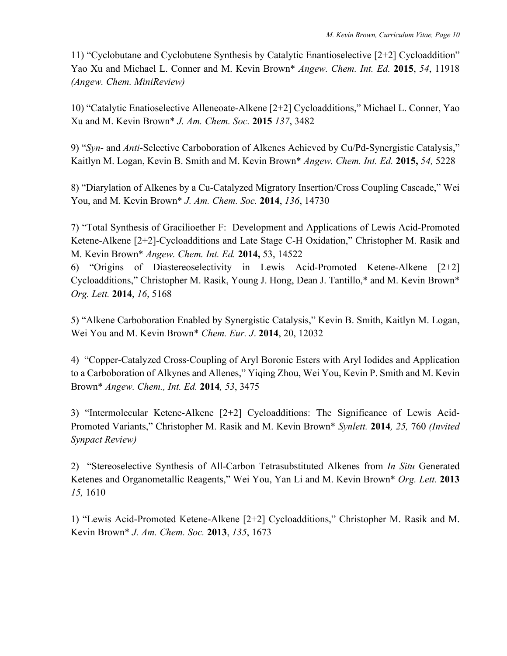11) "Cyclobutane and Cyclobutene Synthesis by Catalytic Enantioselective [2+2] Cycloaddition" Yao Xu and Michael L. Conner and M. Kevin Brown\* *Angew. Chem. Int. Ed.* **2015**, *54*, 11918 *(Angew. Chem. MiniReview)*

10) "Catalytic Enatioselective Alleneoate-Alkene [2+2] Cycloadditions," Michael L. Conner, Yao Xu and M. Kevin Brown\* *J. Am. Chem. Soc.* **2015** *137*, 3482

9) "*Syn*- and *Anti*-Selective Carboboration of Alkenes Achieved by Cu/Pd-Synergistic Catalysis," Kaitlyn M. Logan, Kevin B. Smith and M. Kevin Brown\* *Angew. Chem. Int. Ed.* **2015,** *54,* 5228

8) "Diarylation of Alkenes by a Cu-Catalyzed Migratory Insertion/Cross Coupling Cascade," Wei You, and M. Kevin Brown\* *J. Am. Chem. Soc.* **2014**, *136*, 14730

7) "Total Synthesis of Gracilioether F: Development and Applications of Lewis Acid-Promoted Ketene-Alkene [2+2]-Cycloadditions and Late Stage C-H Oxidation," Christopher M. Rasik and M. Kevin Brown\* *Angew. Chem. Int. Ed.* **2014,** 53, 14522

6) "Origins of Diastereoselectivity in Lewis Acid-Promoted Ketene-Alkene [2+2] Cycloadditions," Christopher M. Rasik, Young J. Hong, Dean J. Tantillo,\* and M. Kevin Brown\* *Org. Lett.* **2014**, *16*, 5168

5) "Alkene Carboboration Enabled by Synergistic Catalysis," Kevin B. Smith, Kaitlyn M. Logan, Wei You and M. Kevin Brown\* *Chem. Eur. J*. **2014**, 20, 12032

4) "Copper-Catalyzed Cross-Coupling of Aryl Boronic Esters with Aryl Iodides and Application to a Carboboration of Alkynes and Allenes," Yiqing Zhou, Wei You, Kevin P. Smith and M. Kevin Brown\* *Angew. Chem., Int. Ed.* **2014***, 53*, 3475

3) "Intermolecular Ketene-Alkene [2+2] Cycloadditions: The Significance of Lewis Acid-Promoted Variants," Christopher M. Rasik and M. Kevin Brown\* *Synlett.* **2014***, 25,* 760 *(Invited Synpact Review)*

2) "Stereoselective Synthesis of All-Carbon Tetrasubstituted Alkenes from *In Situ* Generated Ketenes and Organometallic Reagents," Wei You, Yan Li and M. Kevin Brown\* *Org. Lett.* **2013** *15,* 1610

1) "Lewis Acid-Promoted Ketene-Alkene [2+2] Cycloadditions," Christopher M. Rasik and M. Kevin Brown\* *J. Am. Chem. Soc.* **2013**, *135*, 1673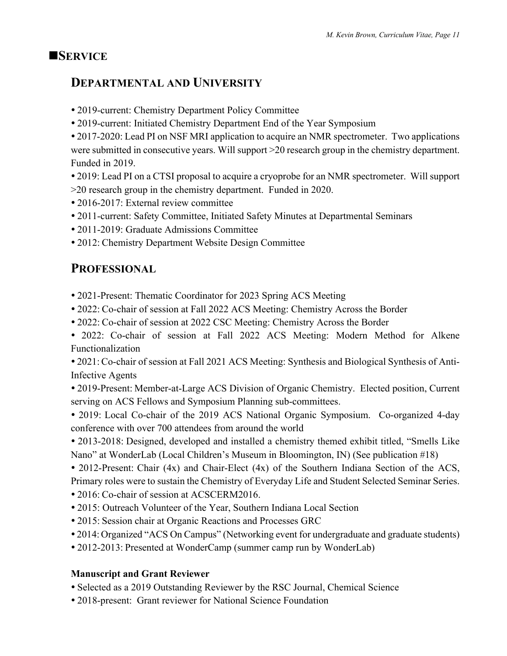### **NSERVICE**

## **DEPARTMENTAL AND UNIVERSITY**

- 2019-current: Chemistry Department Policy Committee
- 2019-current: Initiated Chemistry Department End of the Year Symposium
- 2017-2020: Lead PI on NSF MRI application to acquire an NMR spectrometer. Two applications were submitted in consecutive years. Will support >20 research group in the chemistry department. Funded in 2019.
- 2019: Lead PI on a CTSI proposal to acquire a cryoprobe for an NMR spectrometer. Will support
- >20 research group in the chemistry department. Funded in 2020.
- 2016-2017: External review committee
- 2011-current: Safety Committee, Initiated Safety Minutes at Departmental Seminars
- 2011-2019: Graduate Admissions Committee
- 2012: Chemistry Department Website Design Committee

# **PROFESSIONAL**

- 2021-Present: Thematic Coordinator for 2023 Spring ACS Meeting
- 2022: Co-chair of session at Fall 2022 ACS Meeting: Chemistry Across the Border
- 2022: Co-chair of session at 2022 CSC Meeting: Chemistry Across the Border

 2022: Co-chair of session at Fall 2022 ACS Meeting: Modern Method for Alkene Functionalization

 2021: Co-chair of session at Fall 2021 ACS Meeting: Synthesis and Biological Synthesis of Anti-Infective Agents

 2019-Present: Member-at-Large ACS Division of Organic Chemistry. Elected position, Current serving on ACS Fellows and Symposium Planning sub-committees.

 2019: Local Co-chair of the 2019 ACS National Organic Symposium. Co-organized 4-day conference with over 700 attendees from around the world

 2013-2018: Designed, developed and installed a chemistry themed exhibit titled, "Smells Like Nano" at WonderLab (Local Children's Museum in Bloomington, IN) (See publication #18)

• 2012-Present: Chair (4x) and Chair-Elect (4x) of the Southern Indiana Section of the ACS, Primary roles were to sustain the Chemistry of Everyday Life and Student Selected Seminar Series.

• 2016: Co-chair of session at ACSCERM2016.

- 2015: Outreach Volunteer of the Year, Southern Indiana Local Section
- 2015: Session chair at Organic Reactions and Processes GRC
- 2014: Organized "ACS On Campus" (Networking event for undergraduate and graduate students)
- 2012-2013: Presented at WonderCamp (summer camp run by WonderLab)

#### **Manuscript and Grant Reviewer**

- Selected as a 2019 Outstanding Reviewer by the RSC Journal, Chemical Science
- 2018-present: Grant reviewer for National Science Foundation